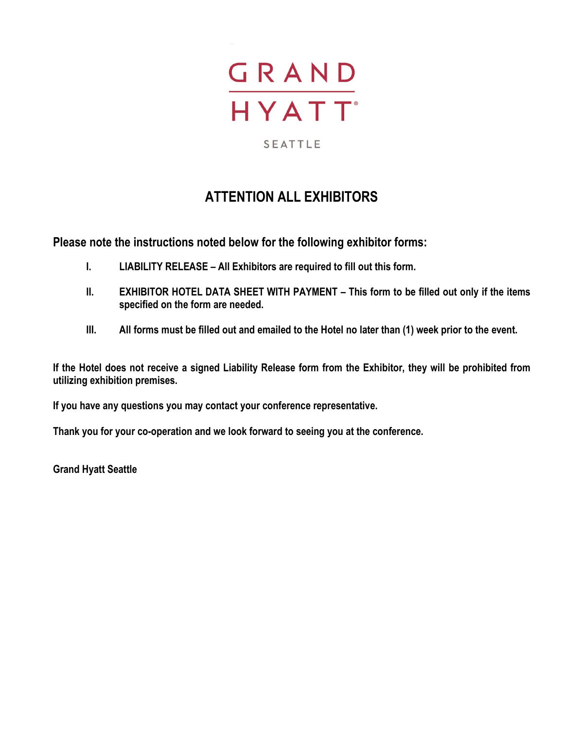

# **ATTENTION ALL EXHIBITORS**

**Please note the instructions noted below for the following exhibitor forms:**

- **I. LIABILITY RELEASE – All Exhibitors are required to fill out this form.**
- **II. EXHIBITOR HOTEL DATA SHEET WITH PAYMENT – This form to be filled out only if the items specified on the form are needed.**
- **III. All forms must be filled out and emailed to the Hotel no later than (1) week prior to the event.**

**If the Hotel does not receive a signed Liability Release form from the Exhibitor, they will be prohibited from utilizing exhibition premises.**

**If you have any questions you may contact your conference representative.**

**Thank you for your co-operation and we look forward to seeing you at the conference.**

**Grand Hyatt Seattle**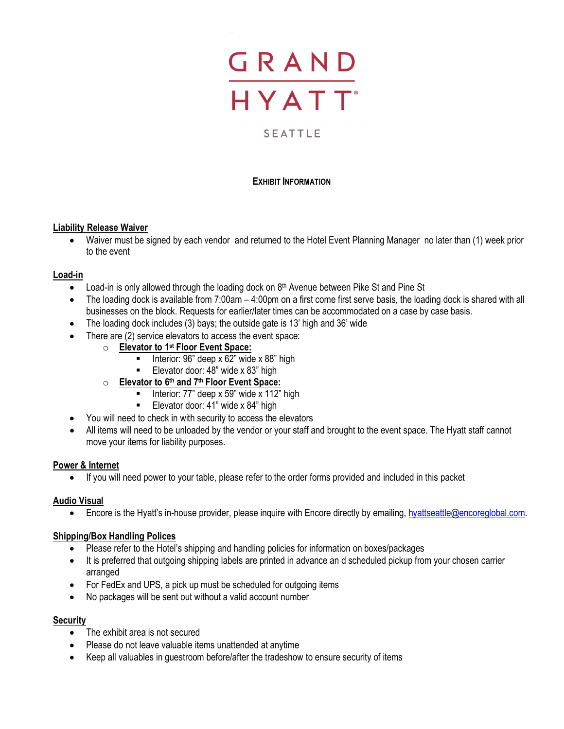

### **EXHIBIT INFORMATION**

### **Liability Release Waiver**

• Waiver must be signed by each vendor and returned to the Hotel Event Planning Manager no later than (1) week prior to the event

### **Load-in**

- Load-in is only allowed through the loading dock on  $8<sup>th</sup>$  Avenue between Pike St and Pine St
- The loading dock is available from 7:00am 4:00pm on a first come first serve basis, the loading dock is shared with all businesses on the block. Requests for earlier/later times can be accommodated on a case by case basis.
- The loading dock includes (3) bays; the outside gate is 13' high and 36' wide
- There are (2) service elevators to access the event space:
	- o **Elevator to 1st Floor Event Space:**
		- **Interior: 96" deep x 62" wide x 88" high**
		- Elevator door: 48" wide x 83" high
	- o **Elevator to 6th and 7th Floor Event Space:** 
		- **Interior: 77" deep x 59" wide x 112" high**
		- **Elevator door: 41" wide x 84" high**
- You will need to check in with security to access the elevators
- All items will need to be unloaded by the vendor or your staff and brought to the event space. The Hyatt staff cannot move your items for liability purposes.

### **Power & Internet**

• If you will need power to your table, please refer to the order forms provided and included in this packet

### **Audio Visual**

• Encore is the Hyatt's in-house provider, please inquire with Encore directly by emailing[, hyattseattle@encoreglobal.com.](mailto:hyattseattle@encoreglobal.com)

### **Shipping/Box Handling Polices**

- Please refer to the Hotel's shipping and handling policies for information on boxes/packages
- It is preferred that outgoing shipping labels are printed in advance an d scheduled pickup from your chosen carrier arranged
- For FedEx and UPS, a pick up must be scheduled for outgoing items
- No packages will be sent out without a valid account number

### **Security**

- The exhibit area is not secured
- Please do not leave valuable items unattended at anytime
- Keep all valuables in guestroom before/after the tradeshow to ensure security of items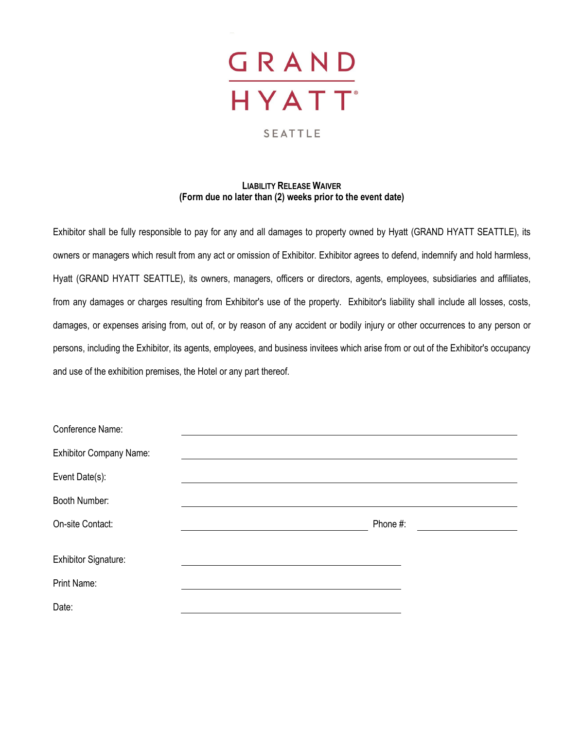

### **LIABILITY RELEASE WAIVER (Form due no later than (2) weeks prior to the event date)**

Exhibitor shall be fully responsible to pay for any and all damages to property owned by Hyatt (GRAND HYATT SEATTLE), its owners or managers which result from any act or omission of Exhibitor. Exhibitor agrees to defend, indemnify and hold harmless, Hyatt (GRAND HYATT SEATTLE), its owners, managers, officers or directors, agents, employees, subsidiaries and affiliates, from any damages or charges resulting from Exhibitor's use of the property. Exhibitor's liability shall include all losses, costs, damages, or expenses arising from, out of, or by reason of any accident or bodily injury or other occurrences to any person or persons, including the Exhibitor, its agents, employees, and business invitees which arise from or out of the Exhibitor's occupancy and use of the exhibition premises, the Hotel or any part thereof.

| Conference Name:               |          |  |
|--------------------------------|----------|--|
| <b>Exhibitor Company Name:</b> |          |  |
| Event Date(s):                 |          |  |
| Booth Number:                  |          |  |
| On-site Contact:               | Phone #: |  |
| <b>Exhibitor Signature:</b>    |          |  |
| Print Name:                    |          |  |
| Date:                          |          |  |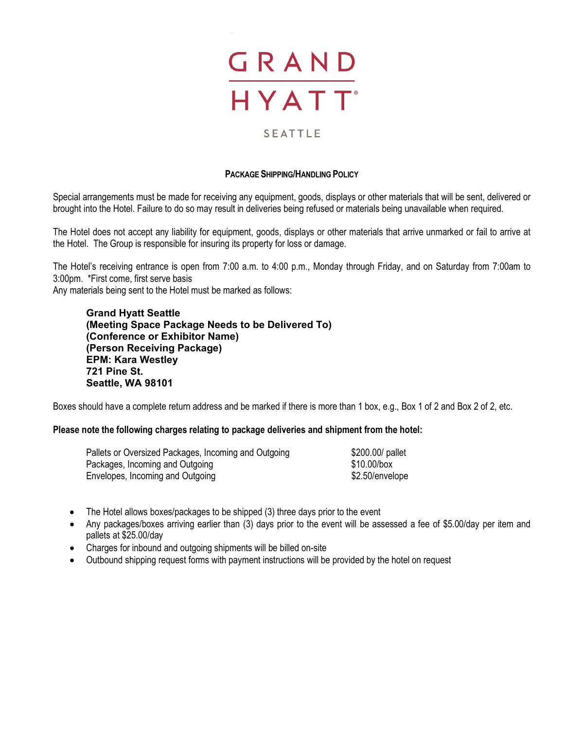

### **PACKAGE SHIPPING/HANDLING POLICY**

Special arrangements must be made for receiving any equipment, goods, displays or other materials that will be sent, delivered or brought into the Hotel. Failure to do so may result in deliveries being refused or materials being unavailable when required.

The Hotel does not accept any liability for equipment, goods, displays or other materials that arrive unmarked or fail to arrive at the Hotel. The Group is responsible for insuring its property for loss or damage.

The Hotel's receiving entrance is open from 7:00 a.m. to 4:00 p.m., Monday through Friday, and on Saturday from 7:00am to 3:00pm. \*First come, first serve basis Any materials being sent to the Hotel must be marked as follows:

**Grand Hyatt Seattle (Meeting Space Package Needs to be Delivered To) (Conference or Exhibitor Name) (Person Receiving Package) EPM: Kara Westley 721 Pine St. Seattle, WA 98101**

Boxes should have a complete return address and be marked if there is more than 1 box, e.g., Box 1 of 2 and Box 2 of 2, etc.

#### **Please note the following charges relating to package deliveries and shipment from the hotel:**

Pallets or Oversized Packages, Incoming and Outgoing \$200.00 \$200.00 pallet Packages, Incoming and Outgoing **\$10.00/box** Envelopes, Incoming and Outgoing **Envelope** \$2.50/envelope

- The Hotel allows boxes/packages to be shipped (3) three days prior to the event
- Any packages/boxes arriving earlier than (3) days prior to the event will be assessed a fee of \$5.00/day per item and pallets at \$25.00/day
- Charges for inbound and outgoing shipments will be billed on-site
- Outbound shipping request forms with payment instructions will be provided by the hotel on request